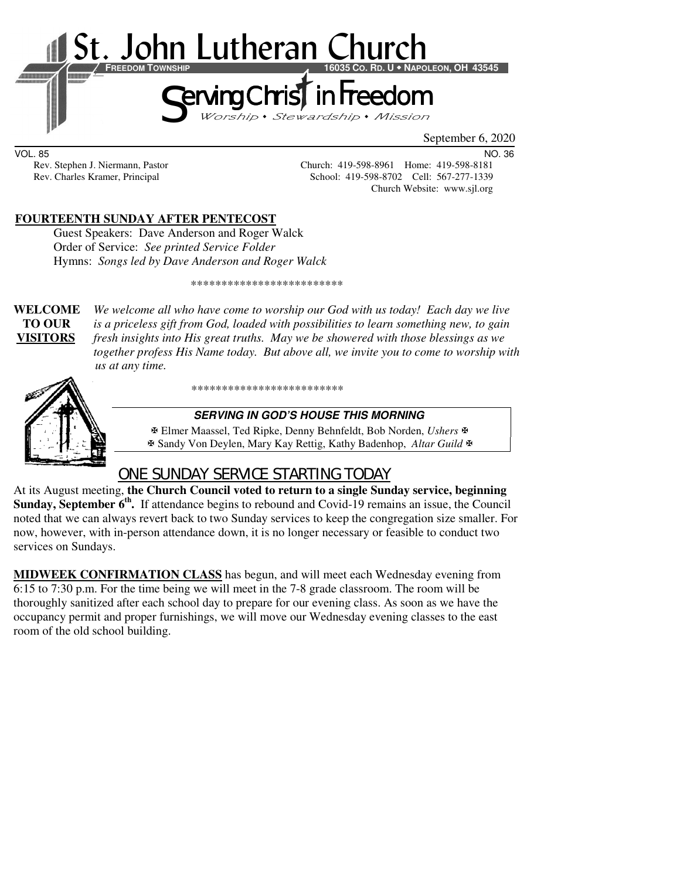

VOL. 85 NO. 36

Rev. Stephen J. Niermann, Pastor Church: 419-598-8961 Home: 419-598-8181<br>Rev. Charles Kramer, Principal School: 419-598-8702 Cell: 567-277-1339 School: 419-598-8702 Cell: 567-277-1339 Church Website: www.sjl.org

## **FOURTEENTH SUNDAY AFTER PENTECOST**

Guest Speakers: Dave Anderson and Roger Walck Order of Service:*See printed Service Folder* Hymns: *Songs led by Dave Anderson and Roger Walck*

\*\*\*\*\*\*\*\*\*\*\*\*\*\*\*\*\*\*\*\*\*\*\*\*\*

**WELCOME** *We welcome all who have come to worship our God with us today! Each day we live* **TO OUR** *is a priceless gift from God, loaded with possibilities to learn something new, to gain*  **VISITORS** *fresh insights into His great truths. May we be showered with those blessings as we together profess His Name today. But above all, we invite you to come to worship with us at any time.* 



\*\*\*\*\*\*\*\*\*\*\*\*\*\*\*\*\*\*\*\*\*\*\*\*\*

#### **SERVING IN GOD'S HOUSE THIS MORNING**

 Elmer Maassel, Ted Ripke, Denny Behnfeldt, Bob Norden, *Ushers* Sandy Von Deylen, Mary Kay Rettig, Kathy Badenhop, *Altar Guild*

## ONE SUNDAY SERVICE STARTING TODAY

At its August meeting, **the Church Council voted to return to a single Sunday service, beginning**  Sunday, September 6<sup>th</sup>. If attendance begins to rebound and Covid-19 remains an issue, the Council noted that we can always revert back to two Sunday services to keep the congregation size smaller. For now, however, with in-person attendance down, it is no longer necessary or feasible to conduct two services on Sundays.

**MIDWEEK CONFIRMATION CLASS** has begun, and will meet each Wednesday evening from 6:15 to 7:30 p.m. For the time being we will meet in the 7-8 grade classroom. The room will be thoroughly sanitized after each school day to prepare for our evening class. As soon as we have the occupancy permit and proper furnishings, we will move our Wednesday evening classes to the east room of the old school building.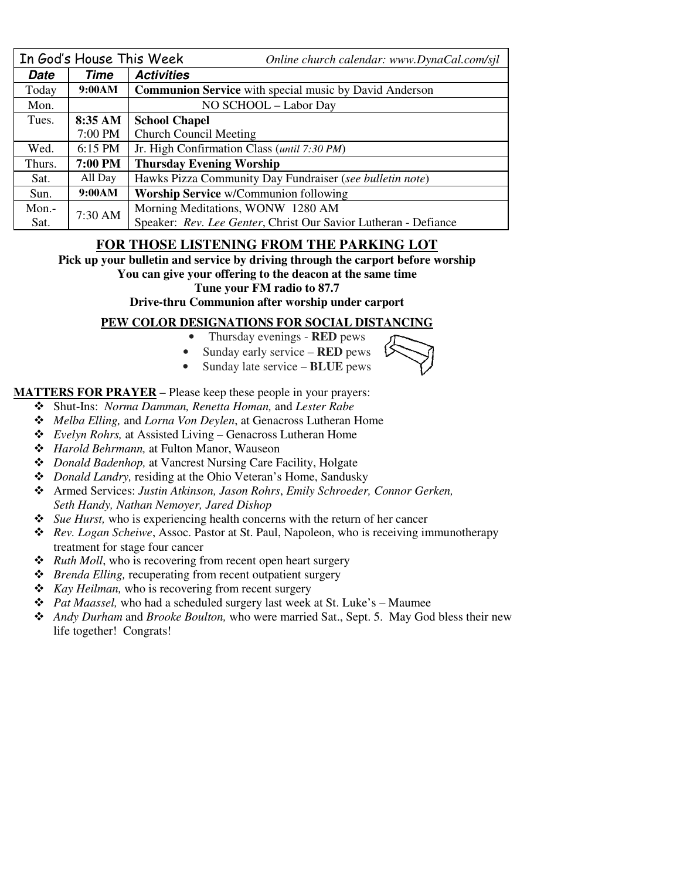| In God's House This Week |                | Online church calendar: www.DynaCal.com/sjl                     |  |  |
|--------------------------|----------------|-----------------------------------------------------------------|--|--|
| Date                     | Time           | <b>Activities</b>                                               |  |  |
| Today                    | 9:00AM         | <b>Communion Service</b> with special music by David Anderson   |  |  |
| Mon.                     |                | NO SCHOOL - Labor Day                                           |  |  |
| Tues.                    | 8:35 AM        | <b>School Chapel</b>                                            |  |  |
|                          | 7:00 PM        | <b>Church Council Meeting</b>                                   |  |  |
| Wed.                     | $6:15$ PM      | Jr. High Confirmation Class (until 7:30 PM)                     |  |  |
| Thurs.                   | <b>7:00 PM</b> | <b>Thursday Evening Worship</b>                                 |  |  |
| Sat.                     | All Day        | Hawks Pizza Community Day Fundraiser (see bulletin note)        |  |  |
| Sun.                     | 9:00AM         | <b>Worship Service</b> w/Communion following                    |  |  |
| $Mon. -$                 | 7:30 AM        | Morning Meditations, WONW 1280 AM                               |  |  |
| Sat.                     |                | Speaker: Rev. Lee Genter, Christ Our Savior Lutheran - Defiance |  |  |

### **FOR THOSE LISTENING FROM THE PARKING LOT**

**Pick up your bulletin and service by driving through the carport before worship** 

#### **You can give your offering to the deacon at the same time**

**Tune your FM radio to 87.7** 

**Drive-thru Communion after worship under carport** 

#### **PEW COLOR DESIGNATIONS FOR SOCIAL DISTANCING**

- Thursday evenings **RED** pews
- Sunday early service **RED** pews
- Sunday late service **BLUE** pews

#### **MATTERS FOR PRAYER** – Please keep these people in your prayers:

- Shut-Ins: *Norma Damman, Renetta Homan,* and *Lester Rabe*
- *Melba Elling,* and *Lorna Von Deylen*, at Genacross Lutheran Home
- *Evelyn Rohrs,* at Assisted Living Genacross Lutheran Home
- *Harold Behrmann,* at Fulton Manor, Wauseon
- *Donald Badenhop,* at Vancrest Nursing Care Facility, Holgate
- *Donald Landry,* residing at the Ohio Veteran's Home, Sandusky
- Armed Services: *Justin Atkinson, Jason Rohrs*, *Emily Schroeder, Connor Gerken, Seth Handy, Nathan Nemoyer, Jared Dishop*
- *Sue Hurst,* who is experiencing health concerns with the return of her cancer
- *Rev. Logan Scheiwe*, Assoc. Pastor at St. Paul, Napoleon, who is receiving immunotherapy treatment for stage four cancer
- *Ruth Moll*, who is recovering from recent open heart surgery
- *Brenda Elling,* recuperating from recent outpatient surgery
- *Kay Heilman,* who is recovering from recent surgery
- *Pat Maassel,* who had a scheduled surgery last week at St. Luke's Maumee
- *Andy Durham* and *Brooke Boulton,* who were married Sat., Sept. 5. May God bless their new life together! Congrats!

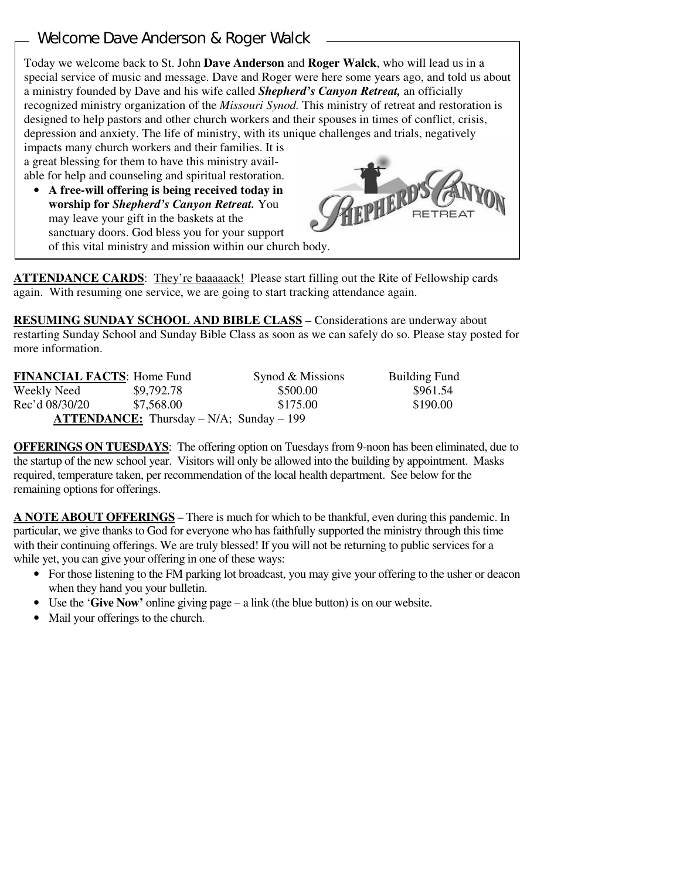# Welcome Dave Anderson & Roger Walck

ſ

Today we welcome back to St. John **Dave Anderson** and **Roger Walck**, who will lead us in a special service of music and message. Dave and Roger were here some years ago, and told us about a ministry founded by Dave and his wife called *Shepherd's Canyon Retreat,* an officially recognized ministry organization of the *Missouri Synod.* This ministry of retreat and restoration is designed to help pastors and other church workers and their spouses in times of conflict, crisis, depression and anxiety. The life of ministry, with its unique challenges and trials, negatively impacts many church workers and their families. It is a great blessing for them to have this ministry avail-

able for help and counseling and spiritual restoration.

• **A free-will offering is being received today in worship for** *Shepherd's Canyon Retreat.* You may leave your gift in the baskets at the sanctuary doors. God bless you for your support of this vital ministry and mission within our church body.



**ATTENDANCE CARDS**: They're baaaaack! Please start filling out the Rite of Fellowship cards again. With resuming one service, we are going to start tracking attendance again.

**RESUMING SUNDAY SCHOOL AND BIBLE CLASS** *–* Considerations are underway about restarting Sunday School and Sunday Bible Class as soon as we can safely do so. Please stay posted for more information.

| <b>FINANCIAL FACTS: Home Fund</b> |                                                    | Synod & Missions | <b>Building Fund</b> |
|-----------------------------------|----------------------------------------------------|------------------|----------------------|
| Weekly Need                       | \$9,792.78                                         | \$500.00         | \$961.54             |
| Rec'd 08/30/20                    | \$7.568.00                                         | \$175.00         | \$190.00             |
|                                   | <b>ATTENDANCE:</b> Thursday $-N/A$ ; Sunday $-199$ |                  |                      |

**OFFERINGS ON TUESDAYS**: The offering option on Tuesdays from 9-noon has been eliminated, due to the startup of the new school year. Visitors will only be allowed into the building by appointment. Masks required, temperature taken, per recommendation of the local health department. See below for the remaining options for offerings.

**A NOTE ABOUT OFFERINGS** – There is much for which to be thankful, even during this pandemic. In particular, we give thanks to God for everyone who has faithfully supported the ministry through this time with their continuing offerings. We are truly blessed! If you will not be returning to public services for a while yet, you can give your offering in one of these ways:

- For those listening to the FM parking lot broadcast, you may give your offering to the usher or deacon when they hand you your bulletin.
- Use the '**Give Now'** online giving page a link (the blue button) is on our website.
- Mail your offerings to the church.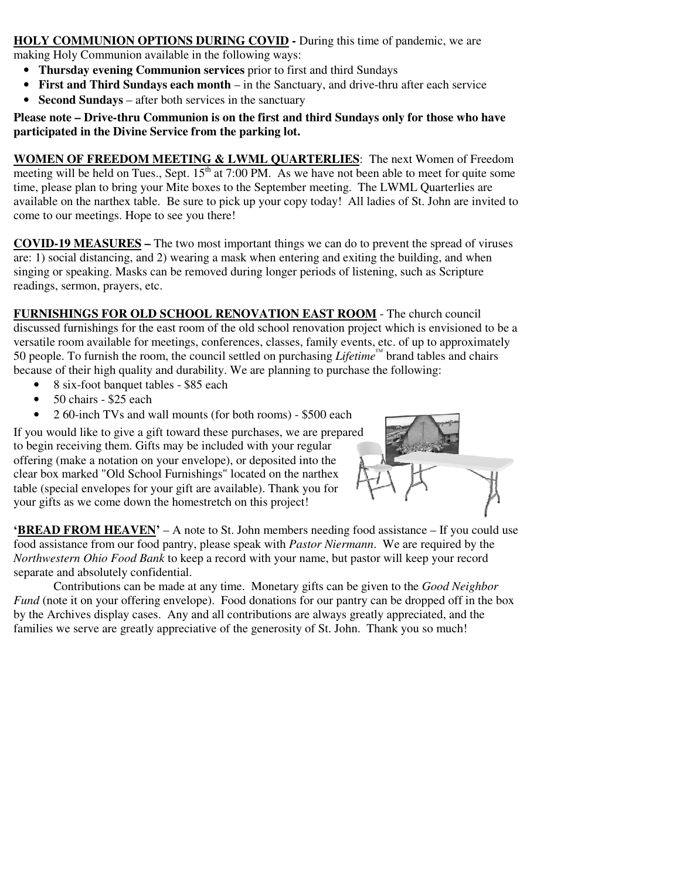**HOLY COMMUNION OPTIONS DURING COVID -** During this time of pandemic, we are making Holy Communion available in the following ways:

- **Thursday evening Communion services** prior to first and third Sundays
- **First and Third Sundays each month** in the Sanctuary, and drive-thru after each service
- **Second Sundays** after both services in the sanctuary

#### **Please note – Drive-thru Communion is on the first and third Sundays only for those who have participated in the Divine Service from the parking lot.**

**WOMEN OF FREEDOM MEETING & LWML QUARTERLIES**: The next Women of Freedom meeting will be held on Tues., Sept.  $15<sup>th</sup>$  at 7:00 PM. As we have not been able to meet for quite some time, please plan to bring your Mite boxes to the September meeting. The LWML Quarterlies are available on the narthex table. Be sure to pick up your copy today! All ladies of St. John are invited to come to our meetings. Hope to see you there!

**COVID-19 MEASURES –** The two most important things we can do to prevent the spread of viruses are: 1) social distancing, and 2) wearing a mask when entering and exiting the building, and when singing or speaking. Masks can be removed during longer periods of listening, such as Scripture readings, sermon, prayers, etc.

**FURNISHINGS FOR OLD SCHOOL RENOVATION EAST ROOM** - The church council discussed furnishings for the east room of the old school renovation project which is envisioned to be a versatile room available for meetings, conferences, classes, family events, etc. of up to approximately 50 people. To furnish the room, the council settled on purchasing *Lifetime™* brand tables and chairs because of their high quality and durability. We are planning to purchase the following:

- 8 six-foot banquet tables \$85 each
- 50 chairs \$25 each
- 2 60-inch TVs and wall mounts (for both rooms) \$500 each

If you would like to give a gift toward these purchases, we are prepared to begin receiving them. Gifts may be included with your regular offering (make a notation on your envelope), or deposited into the clear box marked "Old School Furnishings" located on the narthex table (special envelopes for your gift are available). Thank you for your gifts as we come down the homestretch on this project!



**'BREAD FROM HEAVEN'** – A note to St. John members needing food assistance – If you could use food assistance from our food pantry, please speak with *Pastor Niermann*. We are required by the *Northwestern Ohio Food Bank* to keep a record with your name, but pastor will keep your record separate and absolutely confidential.

Contributions can be made at any time. Monetary gifts can be given to the *Good Neighbor Fund* (note it on your offering envelope). Food donations for our pantry can be dropped off in the box by the Archives display cases. Any and all contributions are always greatly appreciated, and the families we serve are greatly appreciative of the generosity of St. John. Thank you so much!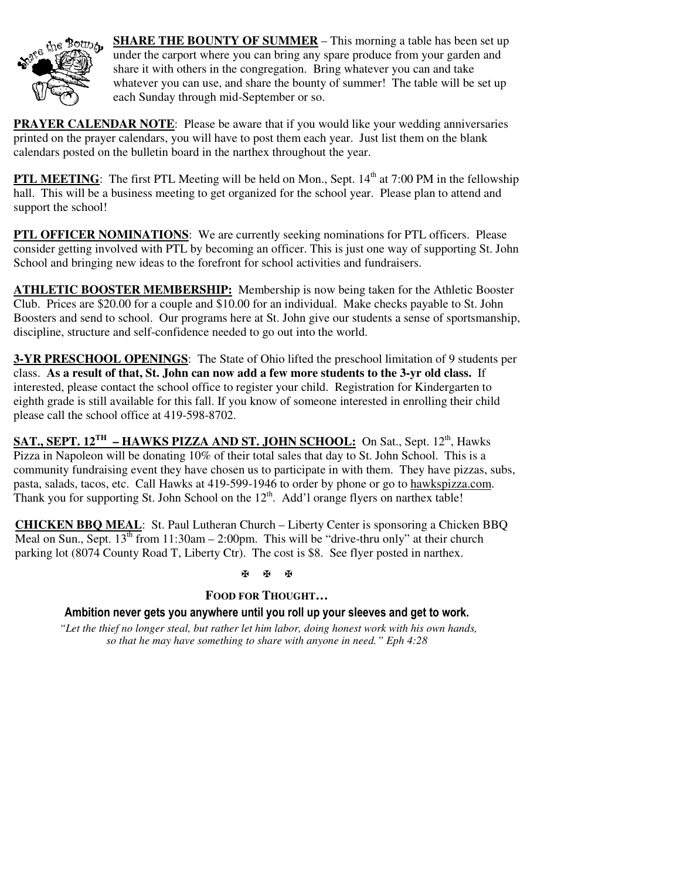

**SHARE THE BOUNTY OF SUMMER** – This morning a table has been set up under the carport where you can bring any spare produce from your garden and share it with others in the congregation. Bring whatever you can and take whatever you can use, and share the bounty of summer! The table will be set up each Sunday through mid-September or so.

**PRAYER CALENDAR NOTE:** Please be aware that if you would like your wedding anniversaries printed on the prayer calendars, you will have to post them each year. Just list them on the blank calendars posted on the bulletin board in the narthex throughout the year.

**PTL MEETING:** The first PTL Meeting will be held on Mon., Sept. 14<sup>th</sup> at 7:00 PM in the fellowship hall. This will be a business meeting to get organized for the school year. Please plan to attend and support the school!

**PTL OFFICER NOMINATIONS**: We are currently seeking nominations for PTL officers. Please consider getting involved with PTL by becoming an officer. This is just one way of supporting St. John School and bringing new ideas to the forefront for school activities and fundraisers.

**ATHLETIC BOOSTER MEMBERSHIP:** Membership is now being taken for the Athletic Booster Club. Prices are \$20.00 for a couple and \$10.00 for an individual. Make checks payable to St. John Boosters and send to school. Our programs here at St. John give our students a sense of sportsmanship, discipline, structure and self-confidence needed to go out into the world.

**3-YR PRESCHOOL OPENINGS**: The State of Ohio lifted the preschool limitation of 9 students per class. **As a result of that, St. John can now add a few more students to the 3-yr old class.** If interested, please contact the school office to register your child. Registration for Kindergarten to eighth grade is still available for this fall. If you know of someone interested in enrolling their child please call the school office at 419-598-8702.

**SAT., SEPT. 12<sup>TH</sup> – HAWKS PIZZA AND ST. JOHN SCHOOL:** On Sat., Sept. 12<sup>th</sup>, Hawks Pizza in Napoleon will be donating 10% of their total sales that day to St. John School. This is a community fundraising event they have chosen us to participate in with them. They have pizzas, subs, pasta, salads, tacos, etc. Call Hawks at 419-599-1946 to order by phone or go to hawkspizza.com. Thank you for supporting St. John School on the  $12<sup>th</sup>$ . Add'l orange flyers on narthex table!

**CHICKEN BBQ MEAL**: St. Paul Lutheran Church – Liberty Center is sponsoring a Chicken BBQ Meal on Sun., Sept.  $13<sup>th</sup>$  from 11:30am – 2:00pm. This will be "drive-thru only" at their church parking lot (8074 County Road T, Liberty Ctr). The cost is \$8. See flyer posted in narthex.

#### **K K K**

#### **FOOD FOR THOUGHT…**

**Ambition never gets you anywhere until you roll up your sleeves and get to work.** 

 *"Let the thief no longer steal, but rather let him labor, doing honest work with his own hands, so that he may have something to share with anyone in need." Eph 4:28*